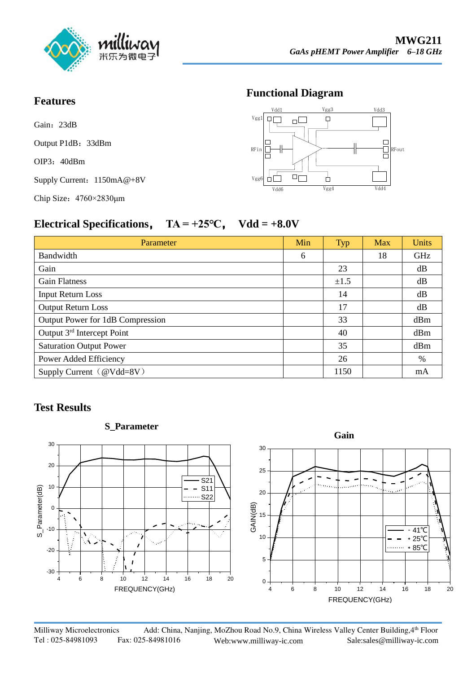

#### **Features**

Gain: 23dB

Output P1dB: 33dBm

OIP3: 40dBm

Supply Current:  $1150mA@+8V$ 

Chip Size:4760×2830μm

#### **Functional Diagram**



## **Electrical Specifications**, **TA = +25℃**, **Vdd = +8.0V**

| Parameter                              | Min | Typ  | Max | <b>Units</b> |
|----------------------------------------|-----|------|-----|--------------|
| Bandwidth                              | 6   |      | 18  | GHz          |
| Gain                                   |     | 23   |     | dB           |
| <b>Gain Flatness</b>                   |     | ±1.5 |     | dB           |
| <b>Input Return Loss</b>               |     | 14   |     | dB           |
| <b>Output Return Loss</b>              |     | 17   |     | dB           |
| Output Power for 1dB Compression       |     | 33   |     | dBm          |
| Output 3 <sup>rd</sup> Intercept Point |     | 40   |     | dBm          |
| <b>Saturation Output Power</b>         |     | 35   |     | dBm          |
| Power Added Efficiency                 |     | 26   |     | $\%$         |
| Supply Current (@Vdd=8V)               |     | 1150 |     | mA           |

## **Test Results**



Milliway Microelectronics Add: China, Nanjing, MoZhou Road No.9, China Wireless Valley Center Building, 4th Floor Tel : 025-84981093 Fax: 025-84981016 Web:www.milliway-ic.com Sa[le:sales@milliway-ic.com](http://www.milliway-ic.com/)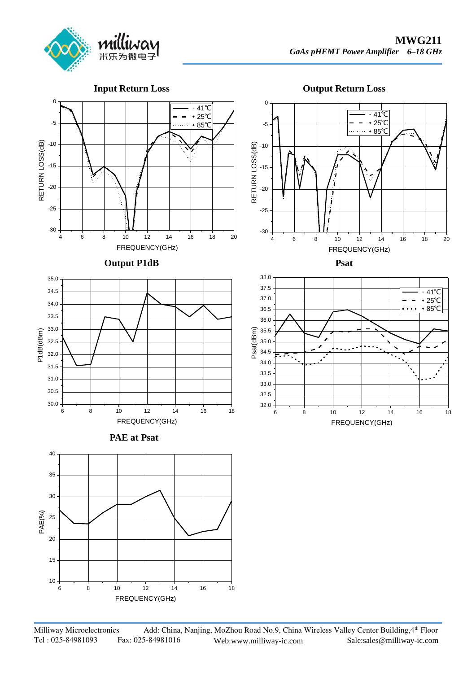

**Input Return Loss**





**Output P1dB** 











**Psat**